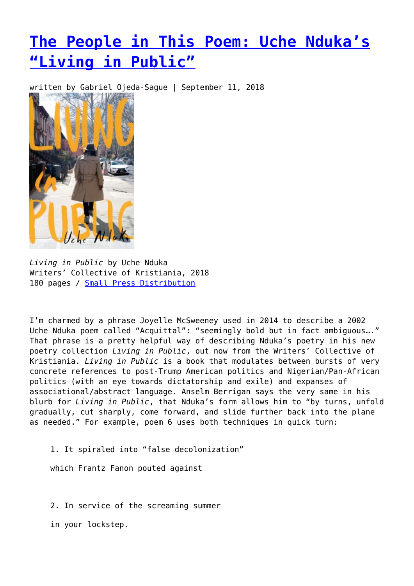## **[The People in This Poem: Uche Nduka's](https://entropymag.org/the-people-in-this-poem-uche-ndukas-living-in-public/) ["Living in Public"](https://entropymag.org/the-people-in-this-poem-uche-ndukas-living-in-public/)**

written by Gabriel Ojeda-Sague | September 11, 2018



*Living in Public* by Uche Nduka Writers' Collective of Kristiania, 2018 180 pages / [Small Press Distribution](https://www.spdbooks.org/Products/9780999587102/living-in-public.aspx)

I'm charmed by a phrase Joyelle McSweeney used in 2014 to describe a 2002 Uche Nduka poem called "Acquittal": "seemingly bold but in fact ambiguous…." That phrase is a pretty helpful way of describing Nduka's poetry in his new poetry collection *Living in Public*, out now from the Writers' Collective of Kristiania. *Living in Public* is a book that modulates between bursts of very concrete references to post-Trump American politics and Nigerian/Pan-African politics (with an eye towards dictatorship and exile) and expanses of associational/abstract language. Anselm Berrigan says the very same in his blurb for *Living in Public*, that Nduka's form allows him to "by turns, unfold gradually, cut sharply, come forward, and slide further back into the plane as needed." For example, poem 6 uses both techniques in quick turn:

1. It spiraled into "false decolonization"

which Frantz Fanon pouted against

2. In service of the screaming summer

in your lockstep.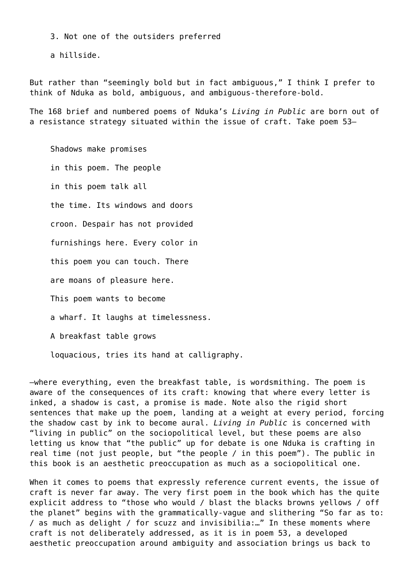3. Not one of the outsiders preferred

a hillside.

But rather than "seemingly bold but in fact ambiguous," I think I prefer to think of Nduka as bold, ambiguous, and ambiguous-therefore-bold.

The 168 brief and numbered poems of Nduka's *Living in Public* are born out of a resistance strategy situated within the issue of craft. Take poem 53–

Shadows make promises in this poem. The people in this poem talk all the time. Its windows and doors croon. Despair has not provided furnishings here. Every color in this poem you can touch. There are moans of pleasure here. This poem wants to become a wharf. It laughs at timelessness. A breakfast table grows

loquacious, tries its hand at calligraphy.

–where everything, even the breakfast table, is wordsmithing. The poem is aware of the consequences of its craft: knowing that where every letter is inked, a shadow is cast, a promise is made. Note also the rigid short sentences that make up the poem, landing at a weight at every period, forcing the shadow cast by ink to become aural. *Living in Public* is concerned with "living in public" on the sociopolitical level, but these poems are also letting us know that "the public" up for debate is one Nduka is crafting in real time (not just people, but "the people / in this poem"). The public in this book is an aesthetic preoccupation as much as a sociopolitical one.

When it comes to poems that expressly reference current events, the issue of craft is never far away. The very first poem in the book which has the quite explicit address to "those who would / blast the blacks browns yellows / off the planet" begins with the grammatically-vague and slithering "So far as to: / as much as delight / for scuzz and invisibilia:…" In these moments where craft is not deliberately addressed, as it is in poem 53, a developed aesthetic preoccupation around ambiguity and association brings us back to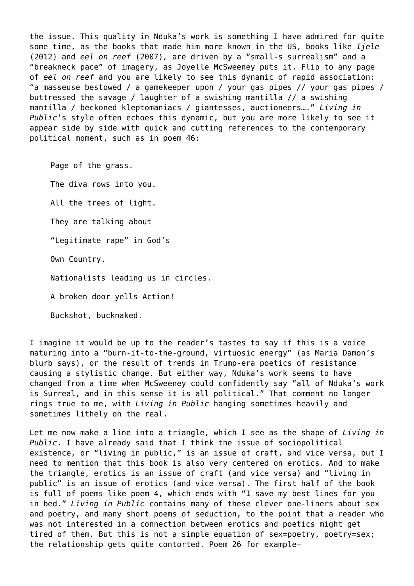the issue. This quality in Nduka's work is something I have admired for quite some time, as the books that made him more known in the US, books like *Ijele* (2012) and *eel on reef* (2007)*,* are driven by a "small-s surrealism" and a "breakneck pace" of imagery, as Joyelle McSweeney puts it. Flip to any page of *eel on reef* and you are likely to see this dynamic of rapid association: "a masseuse bestowed / a gamekeeper upon / your gas pipes // your gas pipes / buttressed the savage / laughter of a swishing mantilla // a swishing mantilla / beckoned kleptomaniacs / giantesses, auctioneers…." *Living in Public*'s style often echoes this dynamic, but you are more likely to see it appear side by side with quick and cutting references to the contemporary political moment, such as in poem 46:

Page of the grass. The diva rows into you. All the trees of light. They are talking about "Legitimate rape" in God's Own Country. Nationalists leading us in circles. A broken door yells Action! Buckshot, bucknaked.

I imagine it would be up to the reader's tastes to say if this is a voice maturing into a "burn-it-to-the-ground, virtuosic energy" (as Maria Damon's blurb says), or the result of trends in Trump-era poetics of resistance causing a stylistic change. But either way, Nduka's work seems to have changed from a time when McSweeney could confidently say "all of Nduka's work is Surreal, and in this sense it is all political." That comment no longer rings true to me, with *Living in Public* hanging sometimes heavily and sometimes lithely on the real.

Let me now make a line into a triangle, which I see as the shape of *Living in Public*. I have already said that I think the issue of sociopolitical existence, or "living in public," is an issue of craft, and vice versa, but I need to mention that this book is also very centered on erotics. And to make the triangle, erotics is an issue of craft (and vice versa) and "living in public" is an issue of erotics (and vice versa). The first half of the book is full of poems like poem 4, which ends with "I save my best lines for you in bed." *Living in Public* contains many of these clever one-liners about sex and poetry, and many short poems of seduction, to the point that a reader who was not interested in a connection between erotics and poetics might get tired of them. But this is not a simple equation of sex=poetry, poetry=sex; the relationship gets quite contorted. Poem 26 for example–